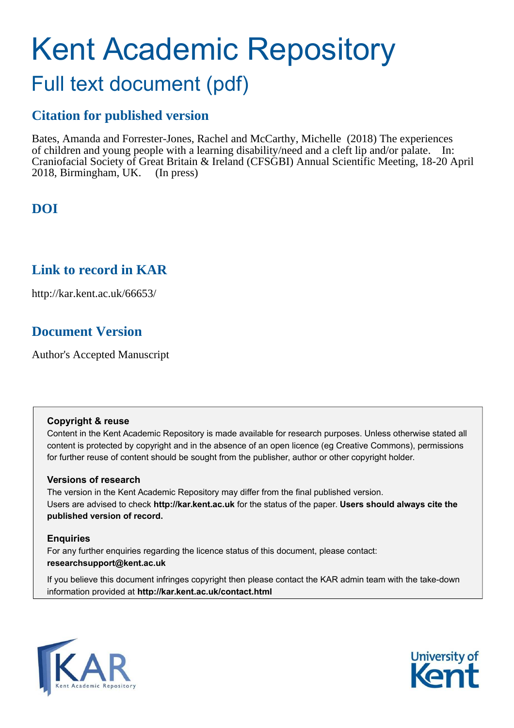# Kent Academic Repository

## Full text document (pdf)

## **Citation for published version**

Bates, Amanda and Forrester-Jones, Rachel and McCarthy, Michelle (2018) The experiences of children and young people with a learning disability/need and a cleft lip and/or palate. In: Craniofacial Society of Great Britain & Ireland (CFSGBI) Annual Scientific Meeting, 18-20 April 2018, Birmingham, UK. (In press)

## **DOI**

### **Link to record in KAR**

http://kar.kent.ac.uk/66653/

## **Document Version**

Author's Accepted Manuscript

#### **Copyright & reuse**

Content in the Kent Academic Repository is made available for research purposes. Unless otherwise stated all content is protected by copyright and in the absence of an open licence (eg Creative Commons), permissions for further reuse of content should be sought from the publisher, author or other copyright holder.

#### **Versions of research**

The version in the Kent Academic Repository may differ from the final published version. Users are advised to check **http://kar.kent.ac.uk** for the status of the paper. **Users should always cite the published version of record.**

#### **Enquiries**

For any further enquiries regarding the licence status of this document, please contact: **researchsupport@kent.ac.uk**

If you believe this document infringes copyright then please contact the KAR admin team with the take-down information provided at **http://kar.kent.ac.uk/contact.html**



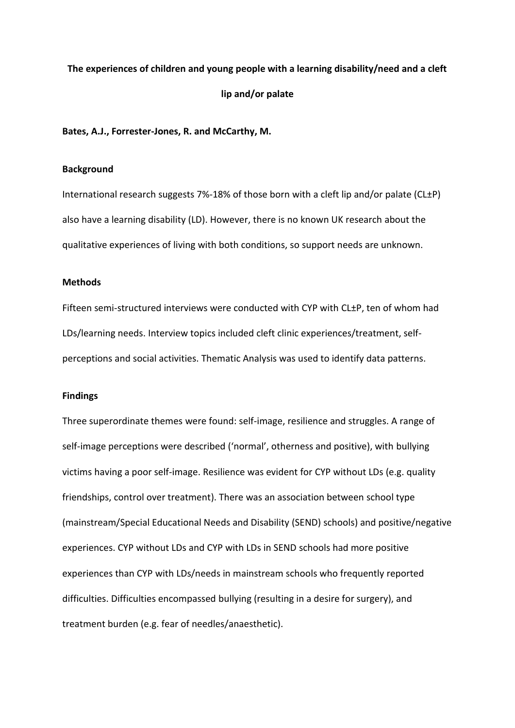## **The experiences of children and young people with a learning disability/need and a cleft lip and/or palate**

**Bates, A.J., Forrester-Jones, R. and McCarthy, M.** 

#### **Background**

International research suggests 7%-18% of those born with a cleft lip and/or palate (CL±P) also have a learning disability (LD). However, there is no known UK research about the qualitative experiences of living with both conditions, so support needs are unknown.

#### **Methods**

Fifteen semi-structured interviews were conducted with CYP with CL±P, ten of whom had LDs/learning needs. Interview topics included cleft clinic experiences/treatment, selfperceptions and social activities. Thematic Analysis was used to identify data patterns.

#### **Findings**

Three superordinate themes were found: self-image, resilience and struggles. A range of self-image perceptions were described ('normal', otherness and positive), with bullying victims having a poor self-image. Resilience was evident for CYP without LDs (e.g. quality friendships, control over treatment). There was an association between school type (mainstream/Special Educational Needs and Disability (SEND) schools) and positive/negative experiences. CYP without LDs and CYP with LDs in SEND schools had more positive experiences than CYP with LDs/needs in mainstream schools who frequently reported difficulties. Difficulties encompassed bullying (resulting in a desire for surgery), and treatment burden (e.g. fear of needles/anaesthetic).